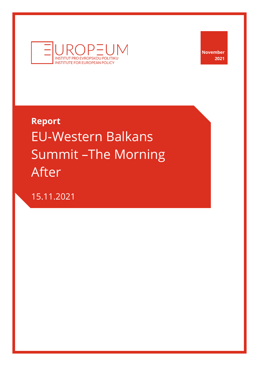

**November 2021**

## **Report** EU-Western Balkans Summit –The Morning After

15.11.2021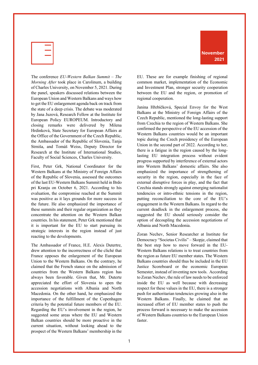

The conference *EU-Western Balkan Summit – The Morning After* took place in Carolinum, a building of Charles University, on November 5, 2021. During the panel, speakers discussed relations between the European Union and Western Balkans and ways how to get the EU enlargement agenda back on track from the state of a deep crisis. The debate was moderated by Jana Juzová, Research Fellow at the Institute for European Policy EUROPEUM. Introductory and closing remarks were delivered by Milena Hrdinková, State Secretary for European Affairs at the Office of the Government of the Czech Republic, the Ambassador of the Republic of Slovenia, Tanja Strniša, and Tomáš Weiss, Deputy Director for Research at the Institute of International Studies, Faculty of Social Sciences, Charles University.

First, Peter Grk, National Coordinator for the Western Balkans at the Ministry of Foreign Affairs of the Republic of Slovenia, assessed the outcomes of the last EU-Western Balkans Summit held in Brdo pri Kranju on October 6, 2021. According to his evaluation, the compromise reached at the Summit was positive as it lays grounds for more success in the future. He also emphasized the importance of these summits and their regular organization as they concentrate the attention on the Western Balkan countries. In his statement, Peter Grk mentioned that it is important for the EU to start pursuing its strategic interests in the region instead of just reacting to the developments.

The Ambassador of France, H.E. Alexis Dutertre, drew attention to the incorrectness of the cliché that France opposes the enlargement of the European Union to the Western Balkans. On the contrary, he claimed that the French stance on the admission of countries from the Western Balkans region has always been favorable. Given that, Mr. Duterte appreciated the effort of Slovenia to open the accession negotiations with Albania and North Macedonia. On the other hand, he emphasized the importance of the fulfillment of the Copenhagen criteria by the potential future members of the EU. Regarding the EU's involvement in the region, he suggested some areas where the EU and Western Balkan countries should be more proactive in the current situation, without looking ahead to the prospect of the Western Balkans' membership in the



EU. These are for example finishing of regional common market, implementation of the Economic and Investment Plan, stronger security cooperation between the EU and the region, or promotion of regional cooperation.

Janina Hřebíčková, Special Envoy for the West Balkans at the Ministry of Foreign Affairs of the Czech Republic, mentioned the long-lasting support from Czechia to the region of Western Balkans. She confirmed the perspective of the EU accession of the Western Balkans countries would be an important topic during the Czech presidency of the European Union in the second part of 2022. According to her, there is a fatigue in the region caused by the longlasting EU integration process without evident progress supported by interference of external actors into Western Balkans' domestic affairs. She also emphasized the importance of strengthening of security in the region, especially in the face of external disruptive forces in play, and the fact that Czechia stands strongly against emerging nationalist tendencies or intro-ethnic tensions in the region, putting reconciliation to the core of the EU's engagement in the Western Balkans. In regard to the current deadlock in the enlargement process, she suggested the EU should seriously consider the option of decoupling the accession negotiations of Albania and North Macedonia.

Zoran Nechev, Senior Researcher at Institute for Democracy "Societas Civilis" – Skopje, claimed that the best step how to move forward in the EU-Western Balkans relations is to treat countries from the region as future EU member states. The Western Balkans countries should thus be included in the EU Justice Scoreboard or the economic European Semester, instead of inventing new tools. According to Zoran Nechev, the rule of law needs to be enforced inside the EU as well because with decreasing respect for these values in the EU, there is a stronger push for authoritarian tendencies growing also in the Western Balkans. Finally, he claimed that an increased effort of EU member states to push the process forward is necessary to make the accession of Western Balkans countries to the European Union faster.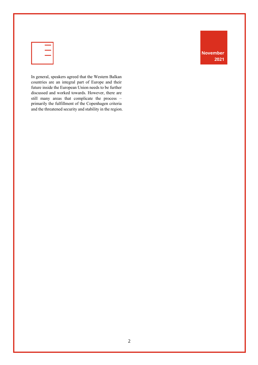| and the state of the state of the state of the state of the state of the state of the state of the state of th |
|----------------------------------------------------------------------------------------------------------------|
|                                                                                                                |
|                                                                                                                |
|                                                                                                                |

In general, speakers agreed that the Western Balkan countries are an integral part of Europe and their future inside the European Union needs to be further discussed and worked towards. However, there are still many areas that complicate the process – primarily the fulfillment of the Copenhagen criteria and the threatened security and stability in the region. **November 2021**